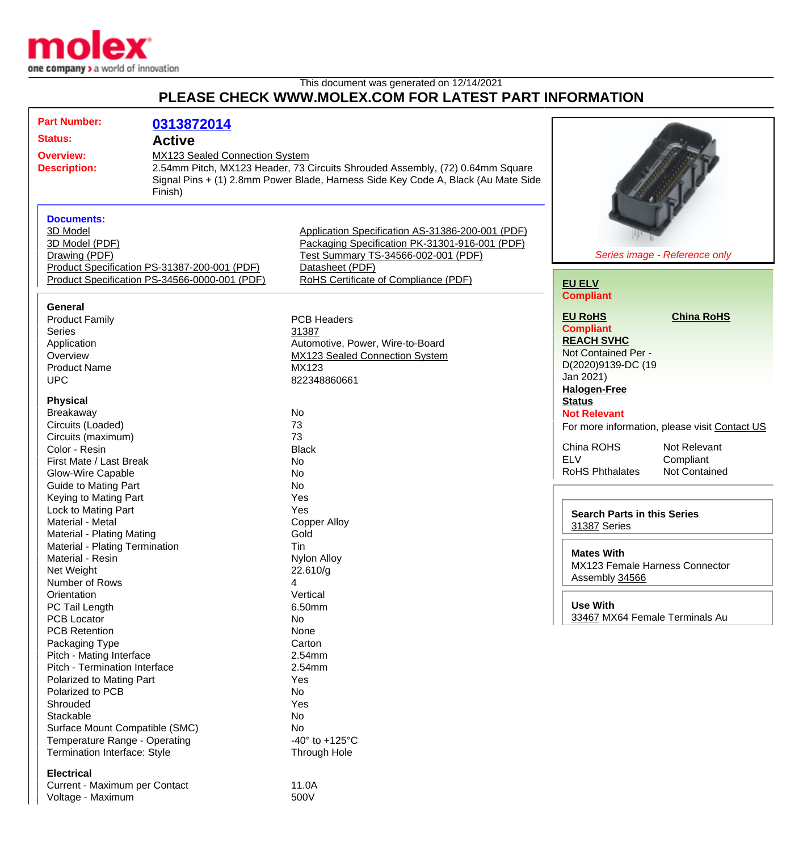

## This document was generated on 12/14/2021 **PLEASE CHECK WWW.MOLEX.COM FOR LATEST PART INFORMATION**

| <b>Part Number:</b>                     |                                                                                                                                                         | 0313872014                                                                                                                                                                                                      |                                                                                                                                                                                                      |                                                                                                                                                                                                                  |
|-----------------------------------------|---------------------------------------------------------------------------------------------------------------------------------------------------------|-----------------------------------------------------------------------------------------------------------------------------------------------------------------------------------------------------------------|------------------------------------------------------------------------------------------------------------------------------------------------------------------------------------------------------|------------------------------------------------------------------------------------------------------------------------------------------------------------------------------------------------------------------|
|                                         | <b>Status:</b>                                                                                                                                          | <b>Active</b>                                                                                                                                                                                                   |                                                                                                                                                                                                      |                                                                                                                                                                                                                  |
| <b>Overview:</b><br><b>Description:</b> |                                                                                                                                                         | MX123 Sealed Connection System<br>2.54mm Pitch, MX123 Header, 73 Circuits Shrouded Assembly, (72) 0.64mm Square<br>Signal Pins + (1) 2.8mm Power Blade, Harness Side Key Code A, Black (Au Mate Side<br>Finish) |                                                                                                                                                                                                      |                                                                                                                                                                                                                  |
|                                         | <b>Documents:</b><br>3D Model<br>3D Model (PDF)<br>Drawing (PDF)                                                                                        | Product Specification PS-31387-200-001 (PDF)<br>Product Specification PS-34566-0000-001 (PDF)                                                                                                                   | Application Specification AS-31386-200-001 (PDF)<br>Packaging Specification PK-31301-916-001 (PDF)<br>Test Summary TS-34566-002-001 (PDF)<br>Datasheet (PDF)<br>RoHS Certificate of Compliance (PDF) | Series image - Reference only<br><b>EU ELV</b>                                                                                                                                                                   |
|                                         | General<br><b>Product Family</b><br><b>Series</b><br>Application<br>Overview<br><b>Product Name</b><br><b>UPC</b>                                       |                                                                                                                                                                                                                 | <b>PCB Headers</b><br>31387<br>Automotive, Power, Wire-to-Board<br>MX123 Sealed Connection System<br>MX123<br>822348860661                                                                           | <b>Compliant</b><br><b>EU RoHS</b><br><b>China RoHS</b><br><b>Compliant</b><br><b>REACH SVHC</b><br>Not Contained Per -<br>D(2020)9139-DC (19<br>Jan 2021)                                                       |
|                                         | <b>Physical</b><br>Breakaway<br>Circuits (Loaded)<br>Circuits (maximum)<br>Color - Resin<br>First Mate / Last Break<br>Glow-Wire Capable                |                                                                                                                                                                                                                 | No<br>73<br>73<br><b>Black</b><br><b>No</b><br><b>No</b>                                                                                                                                             | <b>Halogen-Free</b><br><b>Status</b><br><b>Not Relevant</b><br>For more information, please visit Contact US<br>China ROHS<br>Not Relevant<br><b>ELV</b><br>Compliant<br>Not Contained<br><b>RoHS Phthalates</b> |
|                                         | Guide to Mating Part<br>Keying to Mating Part<br>Lock to Mating Part<br>Material - Metal<br>Material - Plating Mating<br>Material - Plating Termination |                                                                                                                                                                                                                 | <b>No</b><br>Yes<br>Yes<br><b>Copper Alloy</b><br>Gold<br><b>Tin</b>                                                                                                                                 | <b>Search Parts in this Series</b><br>31387 Series                                                                                                                                                               |
|                                         | Material - Resin<br>Net Weight<br>Number of Rows                                                                                                        |                                                                                                                                                                                                                 | <b>Nylon Alloy</b><br>22.610/g<br>4                                                                                                                                                                  | <b>Mates With</b><br>MX123 Female Harness Connector<br>Assembly 34566                                                                                                                                            |
|                                         | Orientation<br>PC Tail Length<br><b>PCB Locator</b><br><b>PCB Retention</b>                                                                             |                                                                                                                                                                                                                 | Vertical<br>6.50mm<br>No<br>None                                                                                                                                                                     | <b>Use With</b><br>33467 MX64 Female Terminals Au                                                                                                                                                                |
|                                         | Packaging Type<br>Pitch - Mating Interface<br>Pitch - Termination Interface<br>Polarized to Mating Part<br>Polarized to PCB<br>Shrouded<br>Stackable    |                                                                                                                                                                                                                 | Carton<br>2.54mm<br>2.54mm<br>Yes<br>No<br>Yes                                                                                                                                                       |                                                                                                                                                                                                                  |
|                                         | Surface Mount Compatible (SMC)<br>Temperature Range - Operating<br>Termination Interface: Style                                                         |                                                                                                                                                                                                                 | No<br>No<br>-40 $\degree$ to +125 $\degree$ C<br>Through Hole                                                                                                                                        |                                                                                                                                                                                                                  |
|                                         | <b>Electrical</b><br>Current - Maximum per Contact<br>Voltage - Maximum                                                                                 |                                                                                                                                                                                                                 | 11.0A<br>500V                                                                                                                                                                                        |                                                                                                                                                                                                                  |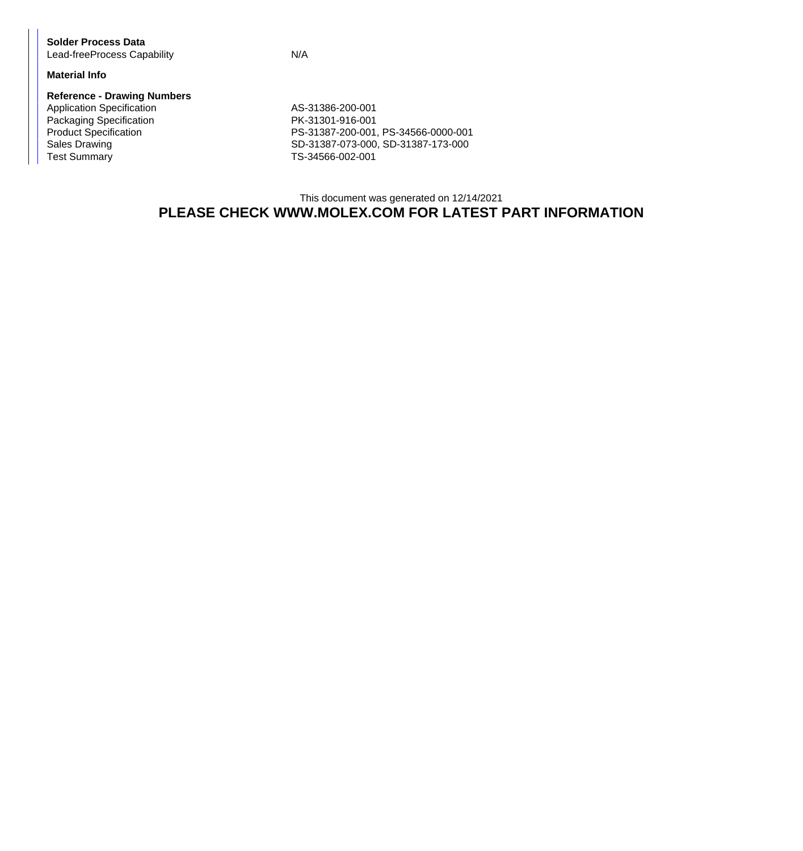**Solder Process Data** Lead-freeProcess Capability **N/A** 

#### **Material Info**

#### **Reference - Drawing Numbers**

Application Specification AS-31386-200-001 Packaging Specification<br>
PK-31301-916-001<br>
PS-31387-200-001 Test Summary TS-34566-002-001

Product Specification <br>
PS-31387-200-001, PS-34566-0000-001<br>
SD-31387-073-000, SD-31387-173-000 SD-31387-073-000, SD-31387-173-000

### This document was generated on 12/14/2021 **PLEASE CHECK WWW.MOLEX.COM FOR LATEST PART INFORMATION**